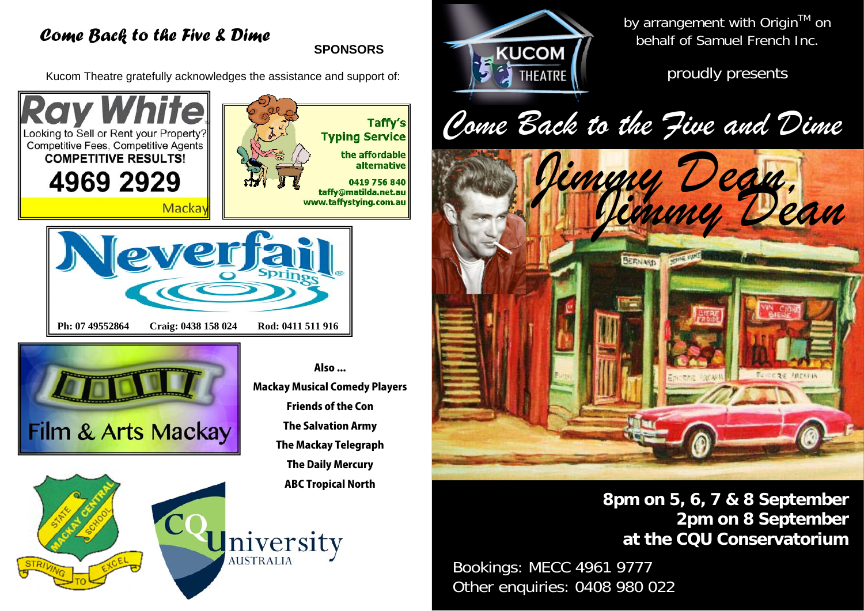# *Come Back to the Five & Dime*

**SPONSORS** 

Kucom Theatre gratefully acknowledges the assistance and support of:







Mackay Musical Comedy Players Friends of the Con The Salvation Army The Mackay Telegraph The Daily Mercury ABC Tropical North

niversity

Also ...



by arrangement with Origin™ on behalf of Samuel French Inc.

proudly presents

*Come Back to the Five and Dime* 



**8pm on 5, 6, 7 & 8 September 2pm on 8 September at the CQU Conservatorium** 

Bookings: MECC 4961 9777 Other enquiries: 0408 980 022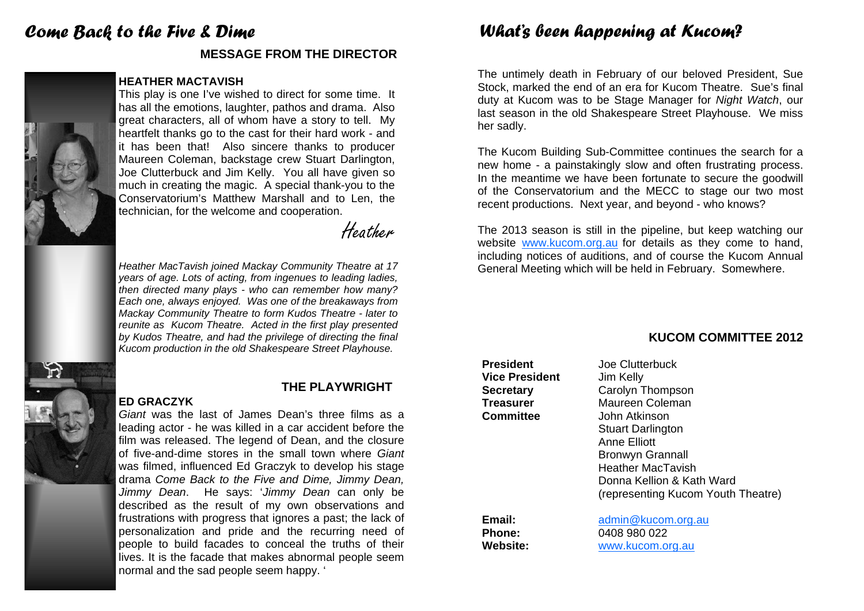# *Come Back to the Five & Dime*

# **MESSAGE FROM THE DIRECTOR**

# **HEATHER MACTAVISH**

This play is one I've wished to direct for some time. It has all the emotions, laughter, pathos and drama. Also great characters, all of whom have a story to tell. My heartfelt thanks go to the cast for their hard work - and it has been that! Also sincere thanks to producer Maureen Coleman, backstage crew Stuart Darlington, Joe Clutterbuck and Jim Kelly. You all have given so much in creating the magic. A special thank-you to the Conservatorium's Matthew Marshall and to Len, the technician, for the welcome and cooperation.

Heather

*Heather MacTavish joined Mackay Community Theatre at 17 years of age. Lots of acting, from ingenues to leading ladies, then directed many plays - who can remember how many? Each one, always enjoyed. Was one of the breakaways from Mackay Community Theatre to form Kudos Theatre - later to reunite as Kucom Theatre. Acted in the first play presented by Kudos Theatre, and had the privilege of directing the final Kucom production in the old Shakespeare Street Playhouse.* 



# **THE PLAYWRIGHT**

*Giant* was the last of James Dean's three films as a leading actor - he was killed in a car accident before the film was released. The legend of Dean, and the closure of five-and-dime stores in the small town where *Giant*was filmed, influenced Ed Graczyk to develop his stage drama *Come Back to the Five and Dime, Jimmy Dean, Jimmy Dean*. He says: '*Jimmy Dean* can only be described as the result of my own observations and frustrations with progress that ignores a past; the lack of personalization and pride and the recurring need of people to build facades to conceal the truths of their lives. It is the facade that makes abnormal people seem normal and the sad people seem happy. '

# *What's been happening at Kucom?*

The untimely death in February of our beloved President, Sue Stock, marked the end of an era for Kucom Theatre. Sue's final duty at Kucom was to be Stage Manager for *Night Watch*, our last season in the old Shakespeare Street Playhouse. We miss her sadly.

The Kucom Building Sub-Committee continues the search for a new home - a painstakingly slow and often frustrating process. In the meantime we have been fortunate to secure the goodwill of the Conservatorium and the MECC to stage our two most recent productions. Next year, and beyond - who knows?

The 2013 season is still in the pipeline, but keep watching our website www.kucom.org.au for details as they come to hand, including notices of auditions, and of course the Kucom Annual General Meeting which will be held in February. Somewhere.

# **KUCOM COMMITTEE 2012**

| <b>President</b>        | Joe Clutterbuck                    |
|-------------------------|------------------------------------|
| <b>Vice President</b>   | Jim Kelly                          |
| <b>Secretary</b>        | Carolyn Thompson                   |
| <b>Treasurer</b>        | Maureen Coleman                    |
| <b>Committee</b>        | John Atkinson                      |
|                         | <b>Stuart Darlington</b>           |
|                         | Anne Elliott                       |
|                         | <b>Bronwyn Grannall</b>            |
|                         | Heather MacTavish                  |
|                         | Donna Kellion & Kath Ward          |
|                         | (representing Kucom Youth Theatre) |
| Email:<br><b>Phone:</b> | admin@kucom.org.au<br>0408 980 022 |
| <b>Website:</b>         | www.kucom.org.au                   |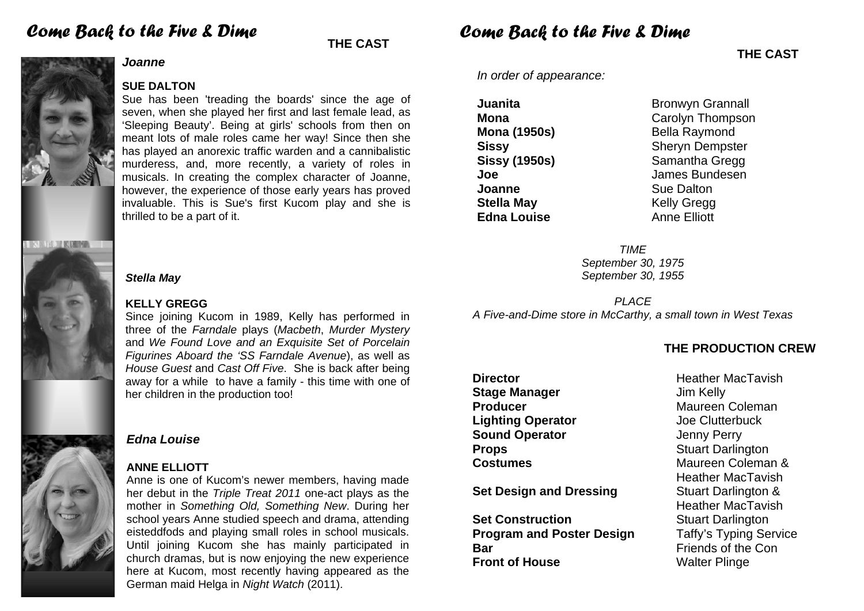# **THE CAST** *Come Back to the Five & Dime*

# *DOUGLE KIRMA*

# *Joanne*

**SUE DALTON** 

Sue has been 'treading the boards' since the age of seven, when she played her first and last female lead, as 'Sleeping Beauty'. Being at girls' schools from then on meant lots of male roles came her way! Since then she has played an anorexic traffic warden and a cannibalistic murderess, and, more recently, a variety of roles in musicals. In creating the complex character of Joanne, however, the experience of those early years has proved invaluable. This is Sue's first Kucom play and she is thrilled to be a part of it.

# *Stella May*

# **KELLY GREGG**

Since joining Kucom in 1989, Kelly has performed in three of the *Farndale* plays (*Macbeth*, *Murder Mystery* and *We Found Love and an Exquisite Set of Porcelain Figurines Aboard the 'SS Farndale Avenue*), as well as *House Guest* and *Cast Off Five*. She is back after being away for a while to have a family - this time with one of her children in the production too!

# *Edna Louise*

# **ANNE ELLIOTT**

Anne is one of Kucom's newer members, having made her debut in the *Triple Treat 2011* one-act plays as the mother in *Something Old, Something New*. During her school years Anne studied speech and drama, attending eisteddfods and playing small roles in school musicals. Until joining Kucom she has mainly participated in church dramas, but is now enjoying the new experience here at Kucom, most recently having appeared as the German maid Helga in *Night Watch* (2011).

# *Come Back to the Five & Dime*

*In order of appearance:* 

**Joanne Sue Dalton Stella May**  Kelly Gregg **Edna Louise Anne Elliott** 

**Juanita Bronwyn Grannall Mona Carolyn Thompson Mona (1950s) Bella Raymond Sissy Sheryn Dempster Sissy (1950s)** Samantha Gregg **Joe** James Bundesen

> *TIME September 30, 1975 September 30, 1955*

*PLACE A Five-and-Dime store in McCarthy, a small town in West Texas* 

# **THE PRODUCTION CREW**

**Stage Manager Jim Kelly Producer Coleman** Maureen Coleman **Lighting Operator Contract Service Clutterbuck Sound Operator**  Jenny Perry **Props** Stuart Darlington

**Set Design and Dressing Stuart Darlington &** 

**Set Construction Stuart Darlington Program and Poster Design Taffy's Typing Service Bar Example 2018 Example 2018 Example 2019 Example 2019 Front of House Walter Plinge** 

**Director Director Heather MacTavish Costumes Costumes Maureen Coleman &**  Heather MacTavish Heather MacTavish

**THE CAST**